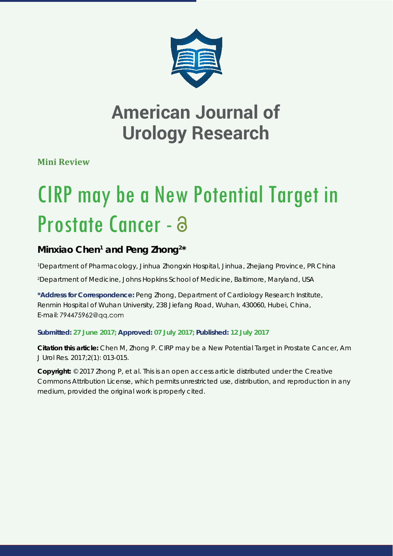

## **American Journal of Urology Research**

**Mini Review**

# CIRP may be a New Potential Target in Prostate Cancer - a

## Minxiao Chen<sup>1</sup> and Peng Zhong<sup>2\*</sup>

*1 Department of Pharmacology, Jinhua Zhongxin Hospital, Jinhua, Zhejiang Province, PR China 2 Department of Medicine, Johns Hopkins School of Medicine, Baltimore, Maryland, USA*

**\*Address for Correspondence:** Peng Zhong, Department of Cardiology Research Institute, Renmin Hospital of Wuhan University, 238 Jiefang Road, Wuhan, 430060, Hubei, China, E-mail: 794475962@gg.com

#### **Submitted: 27 June 2017; Approved: 07 July 2017; Published: 12 July 2017**

**Citation this article:** Chen M, Zhong P. CIRP may be a New Potential Target in Prostate Cancer, Am J Urol Res. 2017;2(1): 013-015.

**Copyright:** © 2017 Zhong P, et al. This is an open access article distributed under the Creative Commons Attribution License, which permits unrestricted use, distribution, and reproduction in any medium, provided the original work is properly cited.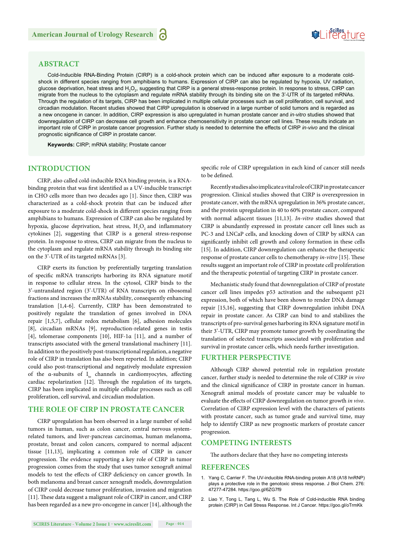## Suifes ture

#### **ABSTRACT**

Cold-Inducible RNA-Binding Protein (CIRP) is a cold-shock protein which can be induced after exposure to a moderate coldshock in different species ranging from amphibians to humans. Expression of CIRP can also be regulated by hypoxia, UV radiation, glucose deprivation, heat stress and H<sub>2</sub>O<sub>2</sub>, suggesting that CIRP is a general stress-response protein. In response to stress, CIRP can migrate from the nucleus to the cytoplasm and regulate mRNA stability through its binding site on the 3'-UTR of its targeted mRNAs. Through the regulation of its targets, CIRP has been implicated in multiple cellular processes such as cell proliferation, cell survival, and circadian modulation. Recent studies showed that CIRP upregulation is observed in a large number of solid tumors and is regarded as a new oncogene in cancer. In addition, CIRP expression is also upregulated in human prostate cancer and *in-vitro* studies showed that downregulation of CIRP can decrease cell growth and enhance chemosensitivity in prostate cancer cell lines. These results indicate an important role of CIRP in prostate cancer progression. Further study is needed to determine the effects of CIRP *in-vivo* and the clinical prognostic significance of CIRP in prostate cancer.

**Keywords:** CIRP; mRNA stability; Prostate cancer

#### **INTRODUCTION**

CIRP, also called cold-inducible RNA binding protein, is a RNAbinding protein that was first identified as a UV-inducible transcript in CHO cells more than two decades ago [1]. Since then, CIRP was characterized as a cold-shock protein that can be induced after exposure to a moderate cold-shock in different species ranging from amphibians to humans. Expression of CIRP can also be regulated by hypoxia, glucose deprivation, heat stress,  ${\rm H_2O_2}$  and inflammatory cytokines [2], suggesting that CIRP is a general stress-response protein. In response to stress, CIRP can migrate from the nucleus to the cytoplasm and regulate mRNA stability through its binding site on the 3'-UTR of its targeted mRNAs [3].

CIRP exerts its function by preferentially targeting translation of specific mRNA transcripts harboring its RNA signature motif in response to cellular stress. In the cytosol, CIRP binds to the 3'-untranslated region (3'-UTR) of RNA transcripts on ribosomal fractions and increases the mRNAs stability, consequently enhancing translation [1,4-6]. Currently, CIRP has been demonstrated to positively regulate the translation of genes involved in DNA repair [1,5,7], cellular redox metabolism [6], adhesion molecules [8], circadian mRNAs [9], reproduction-related genes in testis [4], telomerase components [10], HIF-1α [11], and a number of transcripts associated with the general translational machinery [11]. In addition to the positively post-transcriptional regulation, a negative role of CIRP in translation has also been reported. In addition; CIRP could also post-transcriptional and negatively modulate expression of the  $\alpha$ -subunits of I<sub>to</sub> channels in cardiomyocytes, affecting cardiac repolarization [12]. Through the regulation of its targets, CIRP has been implicated in multiple cellular processes such as cell proliferation, cell survival, and circadian modulation.

#### **THE ROLE OF CIRP IN PROSTATE CANCER**

 CIRP upregulation has been observed in a large number of solid tumors in human, such as colon cancer, central nervous systemrelated tumors, and liver-pancreas carcinomas, human melanoma, prostate, breast and colon cancers, compared to normal adjacent tissue [11,13], implicating a common role of CIRP in cancer progression. The evidence supporting a key role of CIRP in tumor progression comes from the study that uses tumor xenograft animal models to test the effects of CIRP deficiency on cancer growth. In both melanoma and breast cancer xenograft models, downregulation of CIRP could decrease tumor proliferation, invasion and migration [11]. These data suggest a malignant role of CIRP in cancer, and CIRP has been regarded as a new pro-oncogene in cancer [14], although the specific role of CIRP upregulation in each kind of cancer still needs to be defined.

Recently studies also implicate a vital role of CIRP in prostate cancer progression. Clinical studies showed that CIRP is overexpression in prostate cancer, with the mRNA upregulation in 36% prostate cancer, and the protein upregulation in 40 to 60% prostate cancer, compared with normal adjacent tissues [11,13]. *In-vitro* studies showed that CIRP is abundantly expressed in prostate cancer cell lines such as PC-3 and LNCaP cells, and knocking down of CIRP by siRNA can significantly inhibit cell growth and colony formation in these cells [15]. In addition, CIRP downregulation can enhance the therapeutic response of prostate cancer cells to chemotherapy *in-vitro* [15]. These results suggest an important role of CIRP in prostate cell proliferation and the therapeutic potential of targeting CIRP in prostate cancer.

Mechanistic study found that downregulation of CIRP of prostate cancer cell lines impedes p53 activation and the subsequent p21 expression, both of which have been shown to render DNA damage repair [15,16], suggesting that CIRP downregulation inhibit DNA repair in prostate cancer. As CIRP can bind to and stabilizes the transcripts of pro-survival genes harboring its RNA signature motif in their 3'-UTR, CIRP may promote tumor growth by coordinating the translation of selected transcripts associated with proliferation and survival in prostate cancer cells, which needs further investigation.

#### **FURTHER PERSPECTIVE**

Although CIRP showed potential role in regulation prostate cancer, further study is needed to determine the role of CIRP *in vivo*  and the clinical significance of CIRP in prostate cancer in human. Xenograft animal models of prostate cancer may be valuable to evaluate the effects of CIRP downregulation on tumor growth *in vivo*. Correlation of CIRP expression level with the characters of patients with prostate cancer, such as tumor grade and survival time, may help to identify CIRP as new prognostic markers of prostate cancer progression.

#### **COMPETING INTERESTS**

The authors declare that they have no competing interests

#### **REFERENCES**

- 1. Yang C, Carrier F. The UV-inducible RNA-binding protein A18 (A18 hnRNP) plays a protective role in the genotoxic stress response. J Biol Chem. 276: 47277-47284. https://goo.gl/6ZG7f9
- 2. Liao Y, Tong L, Tang L, Wu S. The Role of Cold-inducible RNA binding protein (CIRP) in Cell Stress Response. Int J Cancer. https://goo.gl/oTrmKk